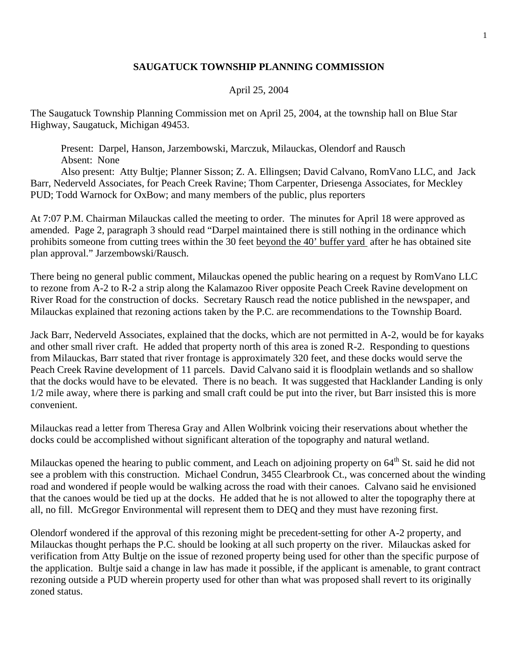## **SAUGATUCK TOWNSHIP PLANNING COMMISSION**

## April 25, 2004

The Saugatuck Township Planning Commission met on April 25, 2004, at the township hall on Blue Star Highway, Saugatuck, Michigan 49453.

 Present: Darpel, Hanson, Jarzembowski, Marczuk, Milauckas, Olendorf and Rausch Absent: None

 Also present: Atty Bultje; Planner Sisson; Z. A. Ellingsen; David Calvano, RomVano LLC, and Jack Barr, Nederveld Associates, for Peach Creek Ravine; Thom Carpenter, Driesenga Associates, for Meckley PUD; Todd Warnock for OxBow; and many members of the public, plus reporters

At 7:07 P.M. Chairman Milauckas called the meeting to order. The minutes for April 18 were approved as amended. Page 2, paragraph 3 should read "Darpel maintained there is still nothing in the ordinance which prohibits someone from cutting trees within the 30 feet beyond the 40' buffer yard after he has obtained site plan approval." Jarzembowski/Rausch.

There being no general public comment, Milauckas opened the public hearing on a request by RomVano LLC to rezone from A-2 to R-2 a strip along the Kalamazoo River opposite Peach Creek Ravine development on River Road for the construction of docks. Secretary Rausch read the notice published in the newspaper, and Milauckas explained that rezoning actions taken by the P.C. are recommendations to the Township Board.

Jack Barr, Nederveld Associates, explained that the docks, which are not permitted in A-2, would be for kayaks and other small river craft. He added that property north of this area is zoned R-2. Responding to questions from Milauckas, Barr stated that river frontage is approximately 320 feet, and these docks would serve the Peach Creek Ravine development of 11 parcels. David Calvano said it is floodplain wetlands and so shallow that the docks would have to be elevated. There is no beach. It was suggested that Hacklander Landing is only 1/2 mile away, where there is parking and small craft could be put into the river, but Barr insisted this is more convenient.

Milauckas read a letter from Theresa Gray and Allen Wolbrink voicing their reservations about whether the docks could be accomplished without significant alteration of the topography and natural wetland.

Milauckas opened the hearing to public comment, and Leach on adjoining property on 64<sup>th</sup> St. said he did not see a problem with this construction. Michael Condrun, 3455 Clearbrook Ct., was concerned about the winding road and wondered if people would be walking across the road with their canoes. Calvano said he envisioned that the canoes would be tied up at the docks. He added that he is not allowed to alter the topography there at all, no fill. McGregor Environmental will represent them to DEQ and they must have rezoning first.

Olendorf wondered if the approval of this rezoning might be precedent-setting for other A-2 property, and Milauckas thought perhaps the P.C. should be looking at all such property on the river. Milauckas asked for verification from Atty Bultje on the issue of rezoned property being used for other than the specific purpose of the application. Bultje said a change in law has made it possible, if the applicant is amenable, to grant contract rezoning outside a PUD wherein property used for other than what was proposed shall revert to its originally zoned status.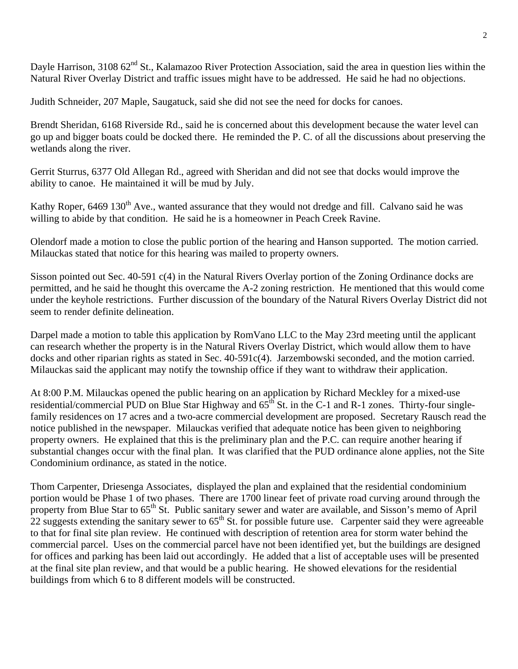Dayle Harrison, 3108 62<sup>nd</sup> St., Kalamazoo River Protection Association, said the area in question lies within the Natural River Overlay District and traffic issues might have to be addressed. He said he had no objections.

Judith Schneider, 207 Maple, Saugatuck, said she did not see the need for docks for canoes.

Brendt Sheridan, 6168 Riverside Rd., said he is concerned about this development because the water level can go up and bigger boats could be docked there. He reminded the P. C. of all the discussions about preserving the wetlands along the river.

Gerrit Sturrus, 6377 Old Allegan Rd., agreed with Sheridan and did not see that docks would improve the ability to canoe. He maintained it will be mud by July.

Kathy Roper, 6469 130<sup>th</sup> Ave., wanted assurance that they would not dredge and fill. Calvano said he was willing to abide by that condition. He said he is a homeowner in Peach Creek Ravine.

Olendorf made a motion to close the public portion of the hearing and Hanson supported. The motion carried. Milauckas stated that notice for this hearing was mailed to property owners.

Sisson pointed out Sec. 40-591 c(4) in the Natural Rivers Overlay portion of the Zoning Ordinance docks are permitted, and he said he thought this overcame the A-2 zoning restriction. He mentioned that this would come under the keyhole restrictions. Further discussion of the boundary of the Natural Rivers Overlay District did not seem to render definite delineation.

Darpel made a motion to table this application by RomVano LLC to the May 23rd meeting until the applicant can research whether the property is in the Natural Rivers Overlay District, which would allow them to have docks and other riparian rights as stated in Sec. 40-591c(4). Jarzembowski seconded, and the motion carried. Milauckas said the applicant may notify the township office if they want to withdraw their application.

At 8:00 P.M. Milauckas opened the public hearing on an application by Richard Meckley for a mixed-use residential/commercial PUD on Blue Star Highway and  $65<sup>th</sup>$  St. in the C-1 and R-1 zones. Thirty-four singlefamily residences on 17 acres and a two-acre commercial development are proposed. Secretary Rausch read the notice published in the newspaper. Milauckas verified that adequate notice has been given to neighboring property owners. He explained that this is the preliminary plan and the P.C. can require another hearing if substantial changes occur with the final plan. It was clarified that the PUD ordinance alone applies, not the Site Condominium ordinance, as stated in the notice.

Thom Carpenter, Driesenga Associates, displayed the plan and explained that the residential condominium portion would be Phase 1 of two phases. There are 1700 linear feet of private road curving around through the property from Blue Star to  $65^{th}$  St. Public sanitary sewer and water are available, and Sisson's memo of April 22 suggests extending the sanitary sewer to  $65<sup>th</sup>$  St. for possible future use. Carpenter said they were agreeable to that for final site plan review. He continued with description of retention area for storm water behind the commercial parcel. Uses on the commercial parcel have not been identified yet, but the buildings are designed for offices and parking has been laid out accordingly. He added that a list of acceptable uses will be presented at the final site plan review, and that would be a public hearing. He showed elevations for the residential buildings from which 6 to 8 different models will be constructed.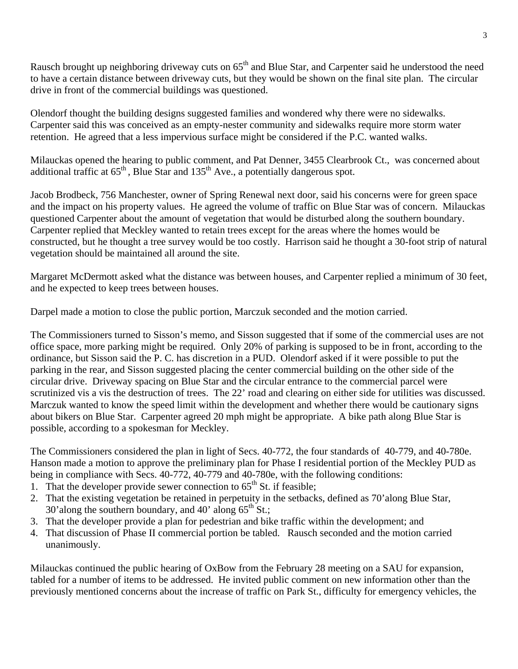Rausch brought up neighboring driveway cuts on  $65<sup>th</sup>$  and Blue Star, and Carpenter said he understood the need to have a certain distance between driveway cuts, but they would be shown on the final site plan. The circular drive in front of the commercial buildings was questioned.

Olendorf thought the building designs suggested families and wondered why there were no sidewalks. Carpenter said this was conceived as an empty-nester community and sidewalks require more storm water retention. He agreed that a less impervious surface might be considered if the P.C. wanted walks.

Milauckas opened the hearing to public comment, and Pat Denner, 3455 Clearbrook Ct., was concerned about additional traffic at  $65<sup>th</sup>$ , Blue Star and  $135<sup>th</sup>$  Ave., a potentially dangerous spot.

Jacob Brodbeck, 756 Manchester, owner of Spring Renewal next door, said his concerns were for green space and the impact on his property values. He agreed the volume of traffic on Blue Star was of concern. Milauckas questioned Carpenter about the amount of vegetation that would be disturbed along the southern boundary. Carpenter replied that Meckley wanted to retain trees except for the areas where the homes would be constructed, but he thought a tree survey would be too costly. Harrison said he thought a 30-foot strip of natural vegetation should be maintained all around the site.

Margaret McDermott asked what the distance was between houses, and Carpenter replied a minimum of 30 feet, and he expected to keep trees between houses.

Darpel made a motion to close the public portion, Marczuk seconded and the motion carried.

The Commissioners turned to Sisson's memo, and Sisson suggested that if some of the commercial uses are not office space, more parking might be required. Only 20% of parking is supposed to be in front, according to the ordinance, but Sisson said the P. C. has discretion in a PUD. Olendorf asked if it were possible to put the parking in the rear, and Sisson suggested placing the center commercial building on the other side of the circular drive. Driveway spacing on Blue Star and the circular entrance to the commercial parcel were scrutinized vis a vis the destruction of trees. The 22' road and clearing on either side for utilities was discussed. Marczuk wanted to know the speed limit within the development and whether there would be cautionary signs about bikers on Blue Star. Carpenter agreed 20 mph might be appropriate. A bike path along Blue Star is possible, according to a spokesman for Meckley.

The Commissioners considered the plan in light of Secs. 40-772, the four standards of 40-779, and 40-780e. Hanson made a motion to approve the preliminary plan for Phase I residential portion of the Meckley PUD as being in compliance with Secs. 40-772, 40-779 and 40-780e, with the following conditions:

- 1. That the developer provide sewer connection to  $65<sup>th</sup>$  St. if feasible;
- 2. That the existing vegetation be retained in perpetuity in the setbacks, defined as 70'along Blue Star, 30'along the southern boundary, and 40' along  $65<sup>th</sup>$  St.;
- 3. That the developer provide a plan for pedestrian and bike traffic within the development; and
- 4. That discussion of Phase II commercial portion be tabled. Rausch seconded and the motion carried unanimously.

Milauckas continued the public hearing of OxBow from the February 28 meeting on a SAU for expansion, tabled for a number of items to be addressed. He invited public comment on new information other than the previously mentioned concerns about the increase of traffic on Park St., difficulty for emergency vehicles, the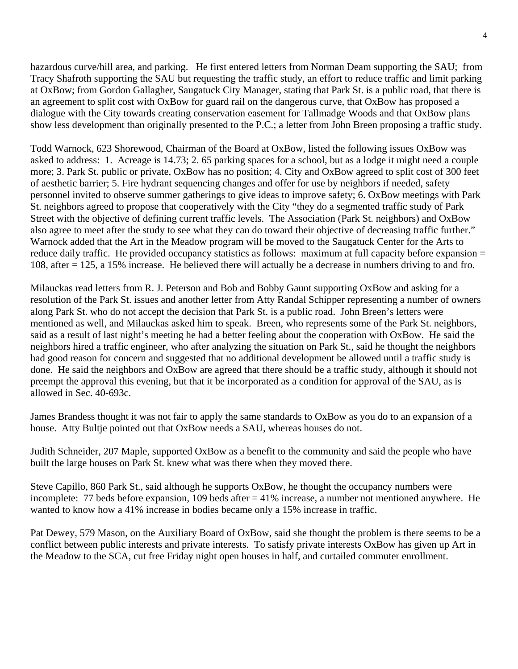hazardous curve/hill area, and parking. He first entered letters from Norman Deam supporting the SAU; from Tracy Shafroth supporting the SAU but requesting the traffic study, an effort to reduce traffic and limit parking at OxBow; from Gordon Gallagher, Saugatuck City Manager, stating that Park St. is a public road, that there is an agreement to split cost with OxBow for guard rail on the dangerous curve, that OxBow has proposed a dialogue with the City towards creating conservation easement for Tallmadge Woods and that OxBow plans show less development than originally presented to the P.C.; a letter from John Breen proposing a traffic study.

Todd Warnock, 623 Shorewood, Chairman of the Board at OxBow, listed the following issues OxBow was asked to address: 1. Acreage is 14.73; 2. 65 parking spaces for a school, but as a lodge it might need a couple more; 3. Park St. public or private, OxBow has no position; 4. City and OxBow agreed to split cost of 300 feet of aesthetic barrier; 5. Fire hydrant sequencing changes and offer for use by neighbors if needed, safety personnel invited to observe summer gatherings to give ideas to improve safety; 6. OxBow meetings with Park St. neighbors agreed to propose that cooperatively with the City "they do a segmented traffic study of Park Street with the objective of defining current traffic levels. The Association (Park St. neighbors) and OxBow also agree to meet after the study to see what they can do toward their objective of decreasing traffic further." Warnock added that the Art in the Meadow program will be moved to the Saugatuck Center for the Arts to reduce daily traffic. He provided occupancy statistics as follows: maximum at full capacity before expansion = 108, after = 125, a 15% increase. He believed there will actually be a decrease in numbers driving to and fro.

Milauckas read letters from R. J. Peterson and Bob and Bobby Gaunt supporting OxBow and asking for a resolution of the Park St. issues and another letter from Atty Randal Schipper representing a number of owners along Park St. who do not accept the decision that Park St. is a public road. John Breen's letters were mentioned as well, and Milauckas asked him to speak. Breen, who represents some of the Park St. neighbors, said as a result of last night's meeting he had a better feeling about the cooperation with OxBow. He said the neighbors hired a traffic engineer, who after analyzing the situation on Park St., said he thought the neighbors had good reason for concern and suggested that no additional development be allowed until a traffic study is done. He said the neighbors and OxBow are agreed that there should be a traffic study, although it should not preempt the approval this evening, but that it be incorporated as a condition for approval of the SAU, as is allowed in Sec. 40-693c.

James Brandess thought it was not fair to apply the same standards to OxBow as you do to an expansion of a house. Atty Bultje pointed out that OxBow needs a SAU, whereas houses do not.

Judith Schneider, 207 Maple, supported OxBow as a benefit to the community and said the people who have built the large houses on Park St. knew what was there when they moved there.

Steve Capillo, 860 Park St., said although he supports OxBow, he thought the occupancy numbers were incomplete: 77 beds before expansion, 109 beds after  $=$  41% increase, a number not mentioned anywhere. He wanted to know how a 41% increase in bodies became only a 15% increase in traffic.

Pat Dewey, 579 Mason, on the Auxiliary Board of OxBow, said she thought the problem is there seems to be a conflict between public interests and private interests. To satisfy private interests OxBow has given up Art in the Meadow to the SCA, cut free Friday night open houses in half, and curtailed commuter enrollment.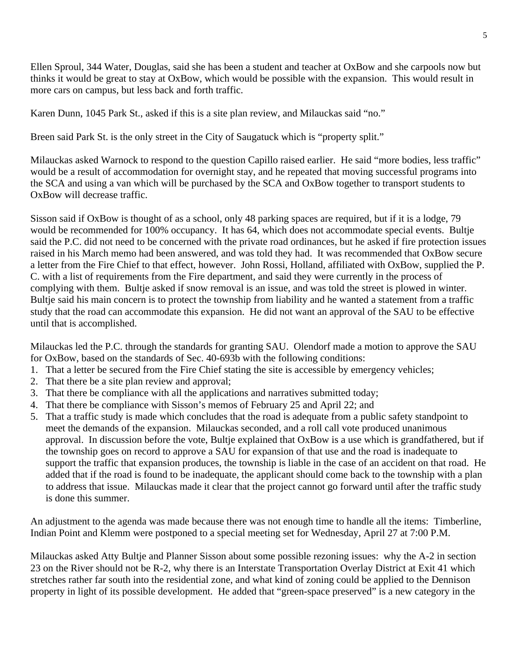Ellen Sproul, 344 Water, Douglas, said she has been a student and teacher at OxBow and she carpools now but thinks it would be great to stay at OxBow, which would be possible with the expansion. This would result in more cars on campus, but less back and forth traffic.

Karen Dunn, 1045 Park St., asked if this is a site plan review, and Milauckas said "no."

Breen said Park St. is the only street in the City of Saugatuck which is "property split."

Milauckas asked Warnock to respond to the question Capillo raised earlier. He said "more bodies, less traffic" would be a result of accommodation for overnight stay, and he repeated that moving successful programs into the SCA and using a van which will be purchased by the SCA and OxBow together to transport students to OxBow will decrease traffic.

Sisson said if OxBow is thought of as a school, only 48 parking spaces are required, but if it is a lodge, 79 would be recommended for 100% occupancy. It has 64, which does not accommodate special events. Bultje said the P.C. did not need to be concerned with the private road ordinances, but he asked if fire protection issues raised in his March memo had been answered, and was told they had. It was recommended that OxBow secure a letter from the Fire Chief to that effect, however. John Rossi, Holland, affiliated with OxBow, supplied the P. C. with a list of requirements from the Fire department, and said they were currently in the process of complying with them. Bultje asked if snow removal is an issue, and was told the street is plowed in winter. Bultje said his main concern is to protect the township from liability and he wanted a statement from a traffic study that the road can accommodate this expansion. He did not want an approval of the SAU to be effective until that is accomplished.

Milauckas led the P.C. through the standards for granting SAU. Olendorf made a motion to approve the SAU for OxBow, based on the standards of Sec. 40-693b with the following conditions:

- 1. That a letter be secured from the Fire Chief stating the site is accessible by emergency vehicles;
- 2. That there be a site plan review and approval;
- 3. That there be compliance with all the applications and narratives submitted today;
- 4. That there be compliance with Sisson's memos of February 25 and April 22; and
- 5. That a traffic study is made which concludes that the road is adequate from a public safety standpoint to meet the demands of the expansion. Milauckas seconded, and a roll call vote produced unanimous approval. In discussion before the vote, Bultje explained that OxBow is a use which is grandfathered, but if the township goes on record to approve a SAU for expansion of that use and the road is inadequate to support the traffic that expansion produces, the township is liable in the case of an accident on that road. He added that if the road is found to be inadequate, the applicant should come back to the township with a plan to address that issue. Milauckas made it clear that the project cannot go forward until after the traffic study is done this summer.

An adjustment to the agenda was made because there was not enough time to handle all the items: Timberline, Indian Point and Klemm were postponed to a special meeting set for Wednesday, April 27 at 7:00 P.M.

Milauckas asked Atty Bultje and Planner Sisson about some possible rezoning issues: why the A-2 in section 23 on the River should not be R-2, why there is an Interstate Transportation Overlay District at Exit 41 which stretches rather far south into the residential zone, and what kind of zoning could be applied to the Dennison property in light of its possible development. He added that "green-space preserved" is a new category in the